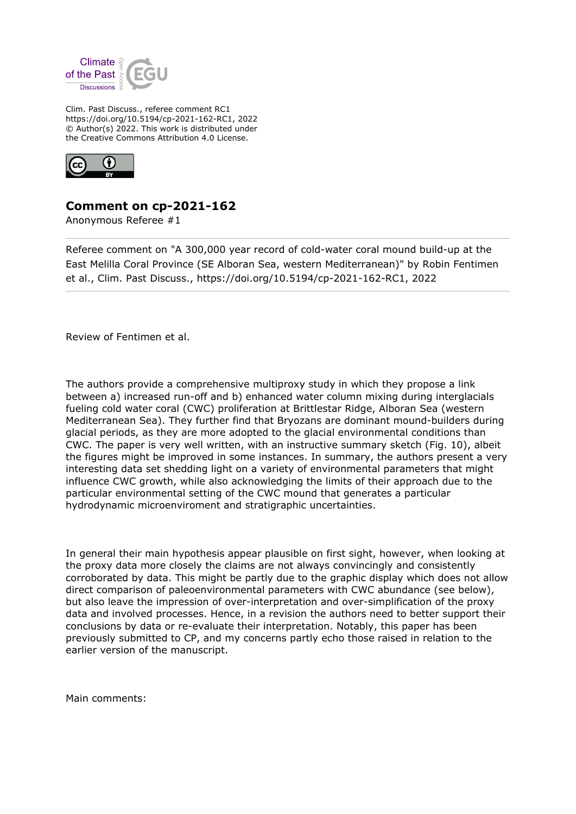

Clim. Past Discuss., referee comment RC1 https://doi.org/10.5194/cp-2021-162-RC1, 2022 © Author(s) 2022. This work is distributed under the Creative Commons Attribution 4.0 License.



## **Comment on cp-2021-162**

Anonymous Referee #1

Referee comment on "A 300,000 year record of cold-water coral mound build-up at the East Melilla Coral Province (SE Alboran Sea, western Mediterranean)" by Robin Fentimen et al., Clim. Past Discuss., https://doi.org/10.5194/cp-2021-162-RC1, 2022

Review of Fentimen et al.

The authors provide a comprehensive multiproxy study in which they propose a link between a) increased run-off and b) enhanced water column mixing during interglacials fueling cold water coral (CWC) proliferation at Brittlestar Ridge, Alboran Sea (western Mediterranean Sea). They further find that Bryozans are dominant mound-builders during glacial periods, as they are more adopted to the glacial environmental conditions than CWC. The paper is very well written, with an instructive summary sketch (Fig. 10), albeit the figures might be improved in some instances. In summary, the authors present a very interesting data set shedding light on a variety of environmental parameters that might influence CWC growth, while also acknowledging the limits of their approach due to the particular environmental setting of the CWC mound that generates a particular hydrodynamic microenviroment and stratigraphic uncertainties.

In general their main hypothesis appear plausible on first sight, however, when looking at the proxy data more closely the claims are not always convincingly and consistently corroborated by data. This might be partly due to the graphic display which does not allow direct comparison of paleoenvironmental parameters with CWC abundance (see below), but also leave the impression of over-interpretation and over-simplification of the proxy data and involved processes. Hence, in a revision the authors need to better support their conclusions by data or re-evaluate their interpretation. Notably, this paper has been previously submitted to CP, and my concerns partly echo those raised in relation to the earlier version of the manuscript.

Main comments: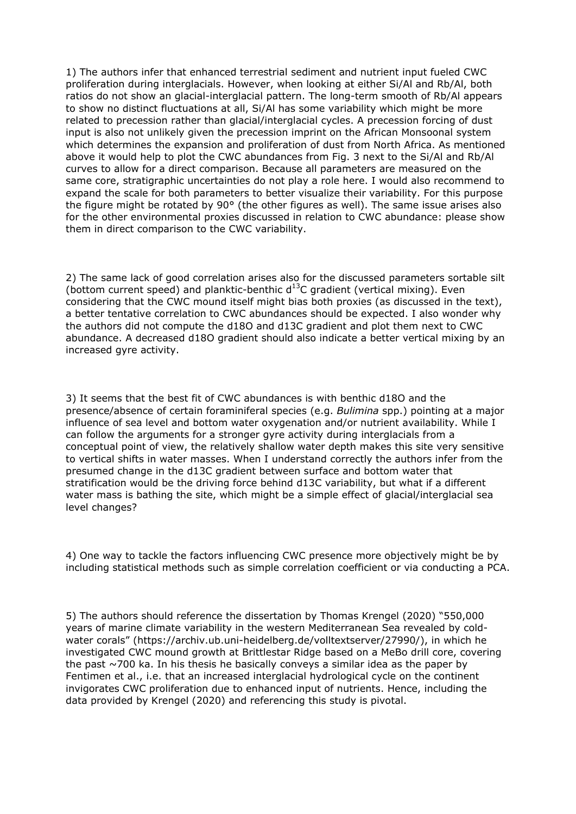1) The authors infer that enhanced terrestrial sediment and nutrient input fueled CWC proliferation during interglacials. However, when looking at either Si/Al and Rb/Al, both ratios do not show an glacial-interglacial pattern. The long-term smooth of Rb/Al appears to show no distinct fluctuations at all, Si/Al has some variability which might be more related to precession rather than glacial/interglacial cycles. A precession forcing of dust input is also not unlikely given the precession imprint on the African Monsoonal system which determines the expansion and proliferation of dust from North Africa. As mentioned above it would help to plot the CWC abundances from Fig. 3 next to the Si/Al and Rb/Al curves to allow for a direct comparison. Because all parameters are measured on the same core, stratigraphic uncertainties do not play a role here. I would also recommend to expand the scale for both parameters to better visualize their variability. For this purpose the figure might be rotated by 90° (the other figures as well). The same issue arises also for the other environmental proxies discussed in relation to CWC abundance: please show them in direct comparison to the CWC variability.

2) The same lack of good correlation arises also for the discussed parameters sortable silt (bottom current speed) and planktic-benthic  $d^{13}C$  gradient (vertical mixing). Even considering that the CWC mound itself might bias both proxies (as discussed in the text), a better tentative correlation to CWC abundances should be expected. I also wonder why the authors did not compute the d18O and d13C gradient and plot them next to CWC abundance. A decreased d18O gradient should also indicate a better vertical mixing by an increased gyre activity.

3) It seems that the best fit of CWC abundances is with benthic d18O and the presence/absence of certain foraminiferal species (e.g. *Bulimina* spp.) pointing at a major influence of sea level and bottom water oxygenation and/or nutrient availability. While I can follow the arguments for a stronger gyre activity during interglacials from a conceptual point of view, the relatively shallow water depth makes this site very sensitive to vertical shifts in water masses. When I understand correctly the authors infer from the presumed change in the d13C gradient between surface and bottom water that stratification would be the driving force behind d13C variability, but what if a different water mass is bathing the site, which might be a simple effect of glacial/interglacial sea level changes?

4) One way to tackle the factors influencing CWC presence more objectively might be by including statistical methods such as simple correlation coefficient or via conducting a PCA.

5) The authors should reference the dissertation by Thomas Krengel (2020) "550,000 years of marine climate variability in the western Mediterranean Sea revealed by coldwater corals" (https://archiv.ub.uni-heidelberg.de/volltextserver/27990/), in which he investigated CWC mound growth at Brittlestar Ridge based on a MeBo drill core, covering the past  $\sim$ 700 ka. In his thesis he basically conveys a similar idea as the paper by Fentimen et al., i.e. that an increased interglacial hydrological cycle on the continent invigorates CWC proliferation due to enhanced input of nutrients. Hence, including the data provided by Krengel (2020) and referencing this study is pivotal.